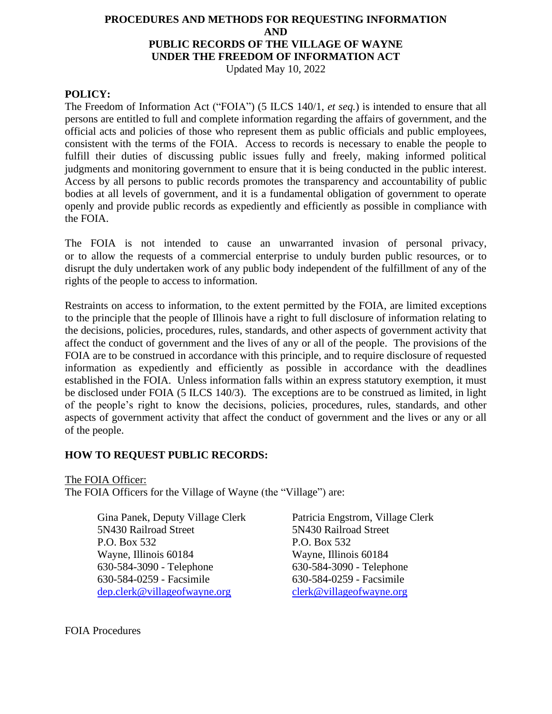# **PROCEDURES AND METHODS FOR REQUESTING INFORMATION AND PUBLIC RECORDS OF THE VILLAGE OF WAYNE UNDER THE FREEDOM OF INFORMATION ACT**

Updated May 10, 2022

## **POLICY:**

The Freedom of Information Act ("FOIA") (5 ILCS 140/1, *et seq.*) is intended to ensure that all persons are entitled to full and complete information regarding the affairs of government, and the official acts and policies of those who represent them as public officials and public employees, consistent with the terms of the FOIA. Access to records is necessary to enable the people to fulfill their duties of discussing public issues fully and freely, making informed political judgments and monitoring government to ensure that it is being conducted in the public interest. Access by all persons to public records promotes the transparency and accountability of public bodies at all levels of government, and it is a fundamental obligation of government to operate openly and provide public records as expediently and efficiently as possible in compliance with the FOIA.

The FOIA is not intended to cause an unwarranted invasion of personal privacy, or to allow the requests of a commercial enterprise to unduly burden public resources, or to disrupt the duly undertaken work of any public body independent of the fulfillment of any of the rights of the people to access to information.

Restraints on access to information, to the extent permitted by the FOIA, are limited exceptions to the principle that the people of Illinois have a right to full disclosure of information relating to the decisions, policies, procedures, rules, standards, and other aspects of government activity that affect the conduct of government and the lives of any or all of the people. The provisions of the FOIA are to be construed in accordance with this principle, and to require disclosure of requested information as expediently and efficiently as possible in accordance with the deadlines established in the FOIA. Unless information falls within an express statutory exemption, it must be disclosed under FOIA (5 ILCS 140/3). The exceptions are to be construed as limited, in light of the people's right to know the decisions, policies, procedures, rules, standards, and other aspects of government activity that affect the conduct of government and the lives or any or all of the people.

#### **HOW TO REQUEST PUBLIC RECORDS:**

The FOIA Officer:

The FOIA Officers for the Village of Wayne (the "Village") are:

Gina Panek, Deputy Village Clerk Patricia Engstrom, Village Clerk 5N430 Railroad Street 5N430 Railroad Street P.O. Box 532 P.O. Box 532 Wayne, Illinois 60184 Wayne, Illinois 60184 630-584-3090 - Telephone 630-584-3090 - Telephone 630-584-0259 - Facsimile 630-584-0259 - Facsimile [dep.clerk@villageofwayne.org](mailto:dep.clerk@villageofwayne.org) [clerk@villageofwayne.org](mailto:clerk@villageofwayne.org)

FOIA Procedures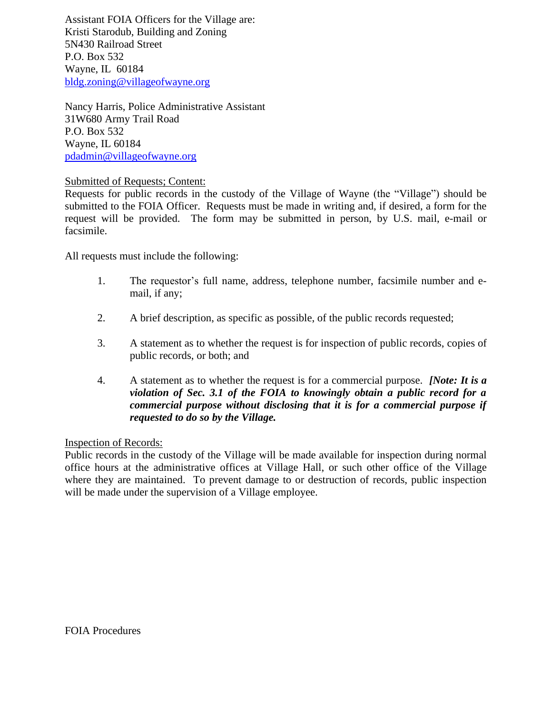Assistant FOIA Officers for the Village are: Kristi Starodub, Building and Zoning 5N430 Railroad Street P.O. Box 532 Wayne, IL 60184 [bldg.zoning@villageofwayne.org](mailto:bldg.zoning@villageofwayne.org)

Nancy Harris, Police Administrative Assistant 31W680 Army Trail Road P.O. Box 532 Wayne, IL 60184 [pdadmin@villageofwayne.org](mailto:pdadmin@villageofwayne.org)

#### Submitted of Requests; Content:

Requests for public records in the custody of the Village of Wayne (the "Village") should be submitted to the FOIA Officer. Requests must be made in writing and, if desired, a form for the request will be provided. The form may be submitted in person, by U.S. mail, e-mail or facsimile.

All requests must include the following:

- 1. The requestor's full name, address, telephone number, facsimile number and email, if any;
- 2. A brief description, as specific as possible, of the public records requested;
- 3. A statement as to whether the request is for inspection of public records, copies of public records, or both; and
- 4. A statement as to whether the request is for a commercial purpose. *[Note: It is a violation of Sec. 3.1 of the FOIA to knowingly obtain a public record for a commercial purpose without disclosing that it is for a commercial purpose if requested to do so by the Village.*

#### Inspection of Records:

Public records in the custody of the Village will be made available for inspection during normal office hours at the administrative offices at Village Hall, or such other office of the Village where they are maintained. To prevent damage to or destruction of records, public inspection will be made under the supervision of a Village employee.